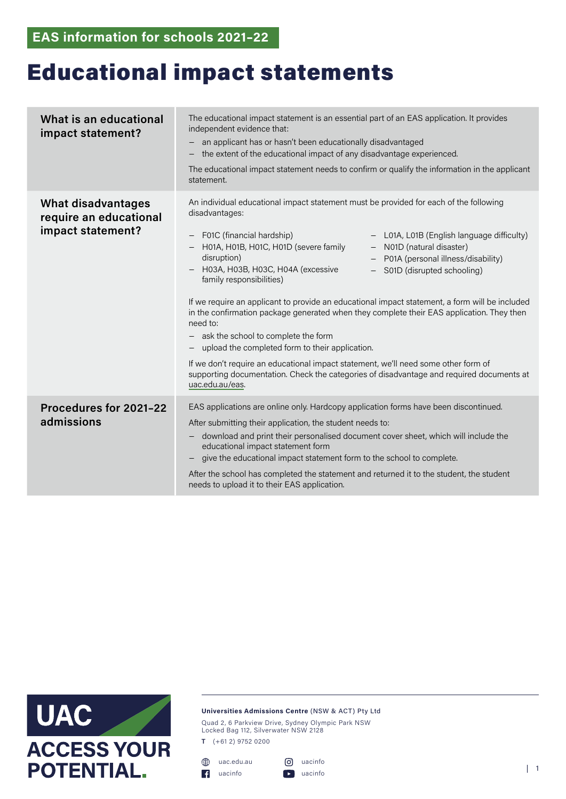## Educational impact statements

| What is an educational<br>impact statement?                              | The educational impact statement is an essential part of an EAS application. It provides<br>independent evidence that:<br>an applicant has or hasn't been educationally disadvantaged<br>$\qquad \qquad -$<br>the extent of the educational impact of any disadvantage experienced.<br>The educational impact statement needs to confirm or qualify the information in the applicant<br>statement.                                                                                                                                                                                                                                                                                                                                                                                                                                                                                                                                            |
|--------------------------------------------------------------------------|-----------------------------------------------------------------------------------------------------------------------------------------------------------------------------------------------------------------------------------------------------------------------------------------------------------------------------------------------------------------------------------------------------------------------------------------------------------------------------------------------------------------------------------------------------------------------------------------------------------------------------------------------------------------------------------------------------------------------------------------------------------------------------------------------------------------------------------------------------------------------------------------------------------------------------------------------|
| <b>What disadvantages</b><br>require an educational<br>impact statement? | An individual educational impact statement must be provided for each of the following<br>disadvantages:<br>F01C (financial hardship)<br>- L01A, L01B (English language difficulty)<br>$\qquad \qquad -$<br>H01A, H01B, H01C, H01D (severe family<br>- N01D (natural disaster)<br>disruption)<br>P01A (personal illness/disability)<br>H03A, H03B, H03C, H04A (excessive<br>S01D (disrupted schooling)<br>family responsibilities)<br>If we require an applicant to provide an educational impact statement, a form will be included<br>in the confirmation package generated when they complete their EAS application. They then<br>need to:<br>- ask the school to complete the form<br>upload the completed form to their application.<br>If we don't require an educational impact statement, we'll need some other form of<br>supporting documentation. Check the categories of disadvantage and required documents at<br>uac.edu.au/eas. |
| Procedures for 2021-22<br>admissions                                     | EAS applications are online only. Hardcopy application forms have been discontinued.<br>After submitting their application, the student needs to:<br>download and print their personalised document cover sheet, which will include the<br>educational impact statement form<br>give the educational impact statement form to the school to complete.<br>After the school has completed the statement and returned it to the student, the student<br>needs to upload it to their EAS application.                                                                                                                                                                                                                                                                                                                                                                                                                                             |



## **Universities Admissions Centre** (NSW & ACT) Pty Ltd

Quad 2, 6 Parkview Drive, Sydney Olympic Park NSW Locked Bag 112, Silverwater NSW 2128

**T** (+61 2) 9752 0200

uac.edu.au uacinfo uacinfo

```
uacinfo | 1
```